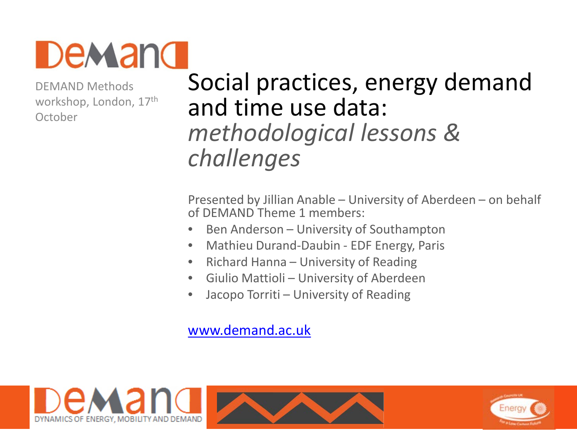

DEMAND Methods workshop, London, 17<sup>th</sup> **October** 

## Social practices, energy demand and time use data: *methodological lessons & challenges*

Presented by Jillian Anable – University of Aberdeen – on behalf of DEMAND Theme 1 members:

- Ben Anderson University of Southampton
- Mathieu Durand-Daubin EDF Energy, Paris
- Richard Hanna University of Reading
- Giulio Mattioli University of Aberdeen
- Jacopo Torriti University of Reading

#### [www.demand.ac.uk](http://www.demand.ac.uk)



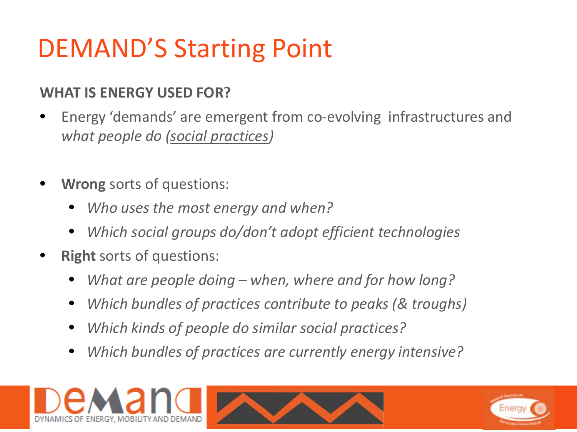# DEMAND'S Starting Point

### **WHAT IS ENERGY USED FOR?**

- Energy 'demands' are emergent from co-evolving infrastructures and *what people do (social practices)*
- **Wrong** sorts of questions:
	- *Who uses the most energy and when?*
	- *Which social groups do/don't adopt efficient technologies*
- **Right** sorts of questions:
	- *What are people doing – when, where and for how long?*
	- *Which bundles of practices contribute to peaks (& troughs)*
	- *Which kinds of people do similar social practices?*
	- *Which bundles of practices are currently energy intensive?*





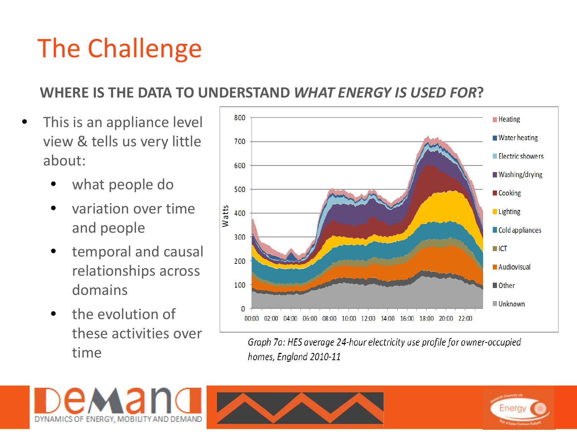# The Challenge

#### **WHERE IS THE DATA TO UNDERSTAND** *WHAT ENERGY IS USED FOR***?**

- This is an appliance level view & tells us very little about:
	- what people do
	- variation over time and people
	- temporal and causal relationships across domains
	- the evolution of these activities over time



Graph 7a: HES average 24-hour electricity use profile for owner-occupied homes, England 2010-11





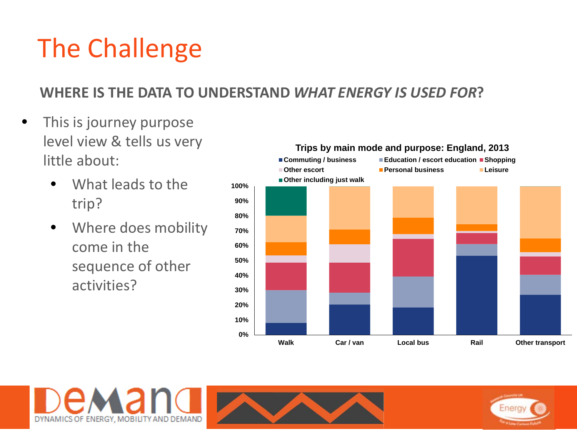# The Challenge

#### **WHERE IS THE DATA TO UNDERSTAND** *WHAT ENERGY IS USED FOR***?**

- This is journey purpose level view & tells us very little about:
	- What leads to the trip?
	- Where does mobility come in the sequence of other activities?





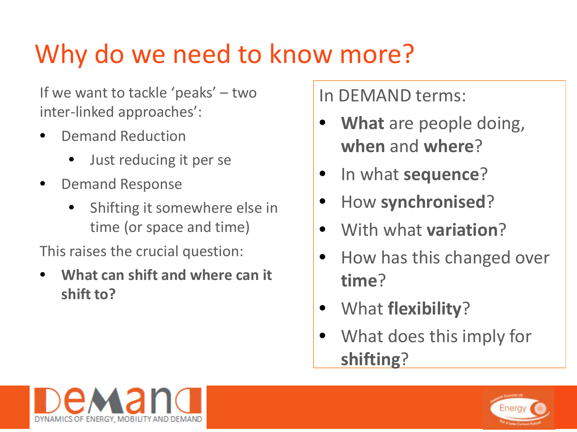# Why do we need to know more?

If we want to tackle 'peaks' – two inter-linked approaches':

- Demand Reduction
	- Just reducing it per se
- Demand Response
	- Shifting it somewhere else in time (or space and time)

This raises the crucial question:

• **What can shift and where can it shift to?** 

In DEMAND terms:

- **What** are people doing, **when** and **where**?
- In what **sequence**?
- How **synchronised**?
- With what **variation**?
- How has this changed over **time**?
- What **flexibility**?
- What does this imply for **shifting**?



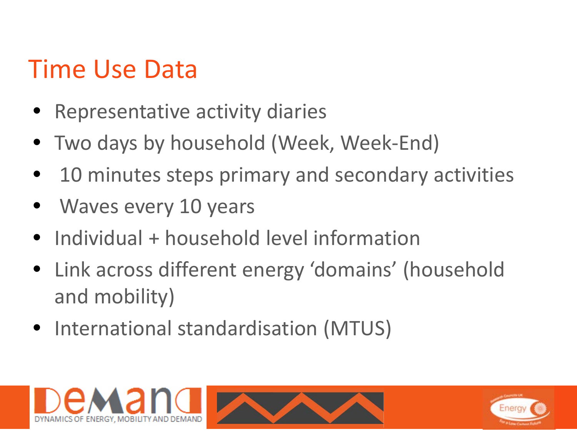# Time Use Data

- Representative activity diaries
- Two days by household (Week, Week-End)
- 10 minutes steps primary and secondary activities
- Waves every 10 years
- Individual + household level information
- Link across different energy 'domains' (household and mobility)
- International standardisation (MTUS)

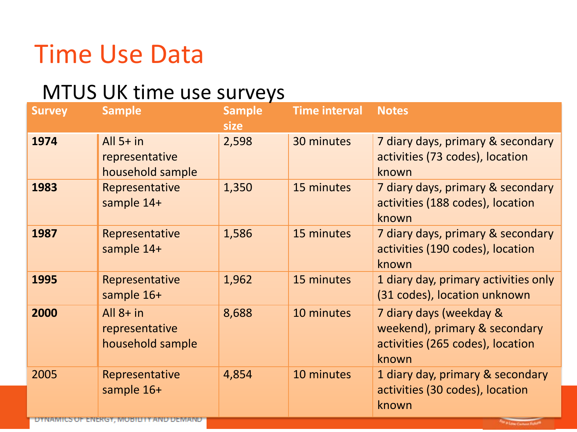## Time Use Data

## MTUS UK time use surveys

| <b>Survey</b>        | <b>Sample</b>                                                | <b>Sample</b><br>size | <b>Time interval</b> | <b>Notes</b>                                                                                          |
|----------------------|--------------------------------------------------------------|-----------------------|----------------------|-------------------------------------------------------------------------------------------------------|
| 1974                 | All $5+$ in<br>representative<br>household sample            | 2,598                 | 30 minutes           | 7 diary days, primary & secondary<br>activities (73 codes), location<br>known                         |
| 1983                 | Representative<br>sample 14+                                 | 1,350                 | 15 minutes           | 7 diary days, primary & secondary<br>activities (188 codes), location<br>known                        |
| 1987                 | Representative<br>sample 14+                                 | 1,586                 | 15 minutes           | 7 diary days, primary & secondary<br>activities (190 codes), location<br>known                        |
| 1995                 | Representative<br>sample 16+                                 | 1,962                 | 15 minutes           | 1 diary day, primary activities only<br>(31 codes), location unknown                                  |
| 2000                 | All $8+$ in<br>representative<br>household sample            | 8,688                 | 10 minutes           | 7 diary days (weekday &<br>weekend), primary & secondary<br>activities (265 codes), location<br>known |
| 2005<br><b>DYNAM</b> | Representative<br>sample 16+<br>F ENERGY MOBILITY AND DEMAND | 4,854                 | 10 minutes           | 1 diary day, primary & secondary<br>activities (30 codes), location<br>known                          |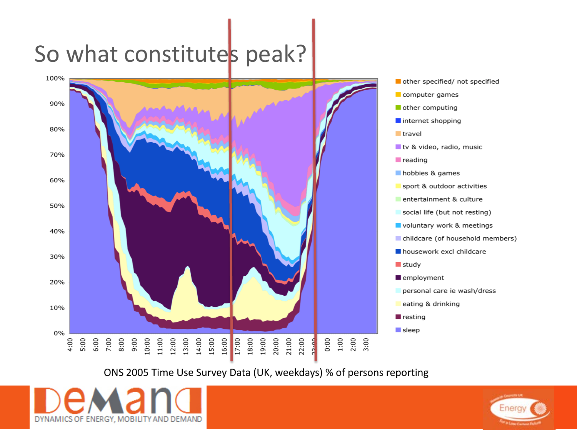# So what constitutes peak?



- other specified/ not specified
- 
- Internet shopping
- tv & video, radio, music
- 
- sport & outdoor activities
- entertainment & culture
- social life (but not resting)
- voluntary work & meetings
- childcare (of household members)
- housework excl childcare
- personal care ie wash/dress
- eating & drinking

#### ONS 2005 Time Use Survey Data (UK, weekdays) % of persons reporting



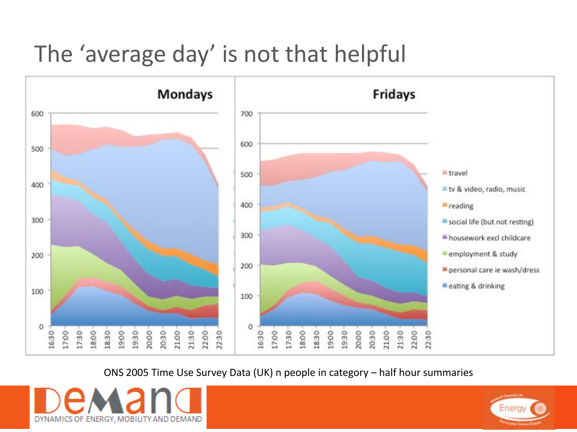## The 'average day' is not that helpful



ONS 2005 Time Use Survey Data (UK) n people in category – half hour summaries



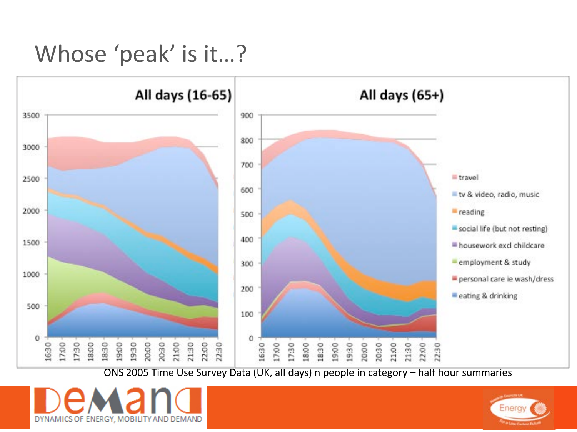## Whose 'peak' is it…?



ONS 2005 Time Use Survey Data (UK, all days) n people in category – half hour summaries



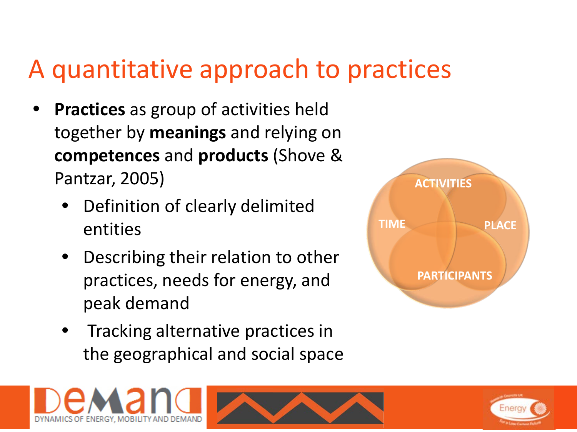## A quantitative approach to practices

- **Practices** as group of activities held together by **meanings** and relying on **competences** and **products** (Shove & Pantzar, 2005)
	- Definition of clearly delimited entities
	- Describing their relation to other practices, needs for energy, and peak demand
	- Tracking alternative practices in the geographical and social space







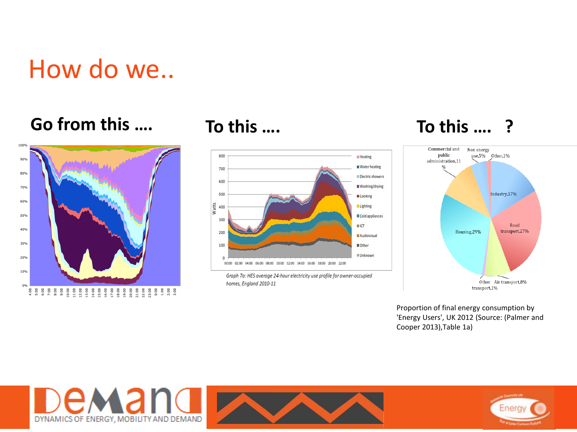## How do we..

### **Go from this …. To this …. To this …. ?**





Graph 7a: HES average 24-hour electricity use profile for owner-occupied homes, England 2010-11



Proportion of final energy consumption by 'Energy Users', UK 2012 (Source: (Palmer and Cooper 2013),Table 1a)